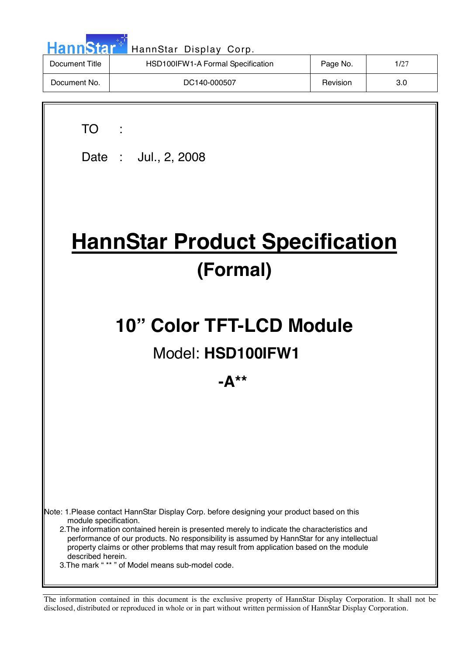| <b>HannStar<sup>*</sup></b> | HannStar Display Corp.            |          |      |
|-----------------------------|-----------------------------------|----------|------|
| Document Title              | HSD100IFW1-A Formal Specification | Page No. | 1/27 |
| Document No.                | DC140-000507                      | Revision | 3.0  |

TO :

 $\overline{\phantom{a}}$ 

Date : Jul., 2, 2008

# **HannStar Product Specification (Formal)**

# **10" Color TFT-LCD Module**

# Model: **HSD100IFW1**

**-A\*\***

Note: 1.Please contact HannStar Display Corp. before designing your product based on this module specification.

 2.The information contained herein is presented merely to indicate the characteristics and performance of our products. No responsibility is assumed by HannStar for any intellectual property claims or other problems that may result from application based on the module described herein.

3.The mark " \*\* " of Model means sub-model code.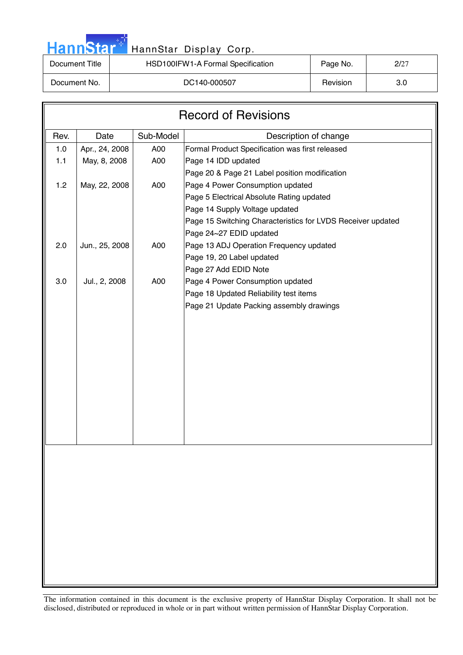|  |  | HannStar <b>*</b> |  |
|--|--|-------------------|--|
|  |  |                   |  |

### HannStar Display Corp.

| Document Title | HSD100IFW1-A Formal Specification | Page No. | 2/27 |
|----------------|-----------------------------------|----------|------|
| Document No.   | DC140-000507                      | Revision | 3.0  |

| <b>Record of Revisions</b> |                |           |                                                             |  |
|----------------------------|----------------|-----------|-------------------------------------------------------------|--|
| Rev.                       | Date           | Sub-Model | Description of change                                       |  |
| 1.0                        | Apr., 24, 2008 | A00       | Formal Product Specification was first released             |  |
| $1.1$                      | May, 8, 2008   | A00       | Page 14 IDD updated                                         |  |
|                            |                |           | Page 20 & Page 21 Label position modification               |  |
| $1.2$                      | May, 22, 2008  | A00       | Page 4 Power Consumption updated                            |  |
|                            |                |           | Page 5 Electrical Absolute Rating updated                   |  |
|                            |                |           | Page 14 Supply Voltage updated                              |  |
|                            |                |           | Page 15 Switching Characteristics for LVDS Receiver updated |  |
|                            |                |           | Page 24~27 EDID updated                                     |  |
| 2.0                        | Jun., 25, 2008 | A00       | Page 13 ADJ Operation Frequency updated                     |  |
|                            |                |           | Page 19, 20 Label updated                                   |  |
|                            |                |           | Page 27 Add EDID Note                                       |  |
| 3.0                        | Jul., 2, 2008  | A00       | Page 4 Power Consumption updated                            |  |
|                            |                |           | Page 18 Updated Reliability test items                      |  |
|                            |                |           | Page 21 Update Packing assembly drawings                    |  |
|                            |                |           |                                                             |  |
|                            |                |           |                                                             |  |
|                            |                |           |                                                             |  |
|                            |                |           |                                                             |  |
|                            |                |           |                                                             |  |
|                            |                |           |                                                             |  |
|                            |                |           |                                                             |  |
|                            |                |           |                                                             |  |
|                            |                |           |                                                             |  |
|                            |                |           |                                                             |  |
|                            |                |           |                                                             |  |
|                            |                |           |                                                             |  |
|                            |                |           |                                                             |  |
|                            |                |           |                                                             |  |
|                            |                |           |                                                             |  |
|                            |                |           |                                                             |  |
|                            |                |           |                                                             |  |
|                            |                |           |                                                             |  |
|                            |                |           |                                                             |  |
|                            |                |           |                                                             |  |
|                            |                |           |                                                             |  |
|                            |                |           |                                                             |  |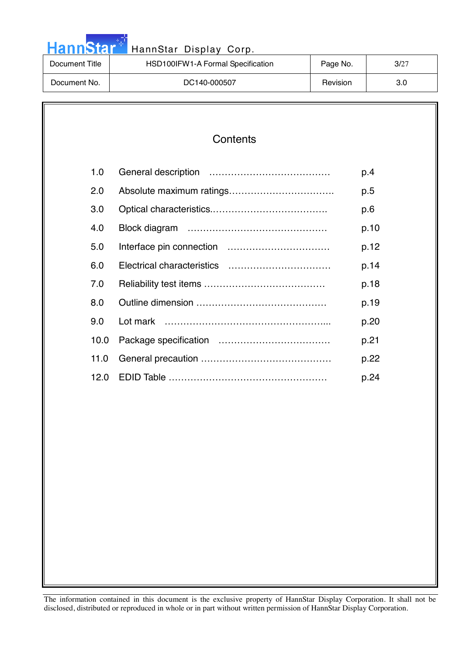| <b>HannStar</b> | HannStar Display Corp.            |          |      |
|-----------------|-----------------------------------|----------|------|
| Document Title  | HSD100IFW1-A Formal Specification | Page No. | 3/27 |
| Document No.    | DC140-000507                      | Revision | 3.0  |

والوارد

| 1.0  | p.4  |
|------|------|
| 2.0  | p.5  |
| 3.0  | p.6  |
| 4.0  | p.10 |
| 5.0  | p.12 |
| 6.0  | p.14 |
| 7.0  | p.18 |
| 8.0  | p.19 |
| 9.0  | p.20 |
| 10.0 | p.21 |
| 11.0 | p.22 |
| 12.0 | p.24 |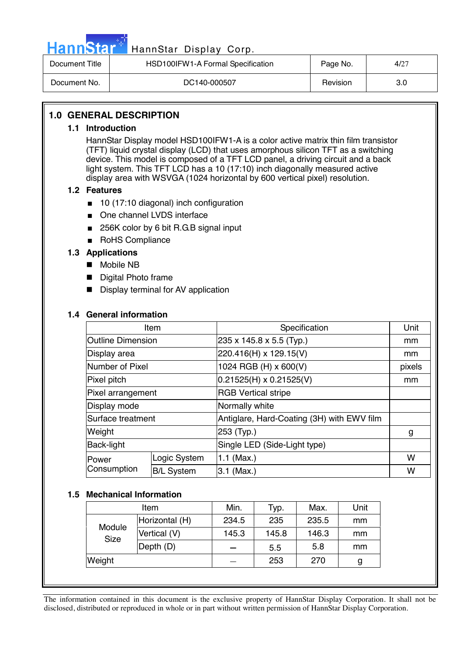

# Hann Star<sup>47</sup> HannStar Display Corp.

| Document Title | HSD100IFW1-A Formal Specification | Page No. | 4/27 |
|----------------|-----------------------------------|----------|------|
| Document No.   | DC140-000507                      | Revision | 3.0  |

### **1.0 GENERAL DESCRIPTION**

### **1.1 Introduction**

HannStar Display model HSD100IFW1-A is a color active matrix thin film transistor (TFT) liquid crystal display (LCD) that uses amorphous silicon TFT as a switching device. This model is composed of a TFT LCD panel, a driving circuit and a back light system. This TFT LCD has a 10 (17:10) inch diagonally measured active display area with WSVGA (1024 horizontal by 600 vertical pixel) resolution.

### **1.2 Features**

- 10 (17:10 diagonal) inch configuration
- One channel LVDS interface
- 256K color by 6 bit R.G.B signal input
- RoHS Compliance

### **1.3 Applications**

- Mobile NB
- **Digital Photo frame**
- **Display terminal for AV application**

### **1.4 General information**

| Item                     |                   | Specification                              | Unit   |
|--------------------------|-------------------|--------------------------------------------|--------|
| <b>Outline Dimension</b> |                   | 235 x 145.8 x 5.5 (Typ.)                   | mm     |
| Display area             |                   | 220.416(H) x 129.15(V)                     | mm     |
| Number of Pixel          |                   | 1024 RGB (H) x 600(V)                      | pixels |
| Pixel pitch              |                   | $0.21525(H) \times 0.21525(V)$             | mm     |
| Pixel arrangement        |                   | <b>RGB Vertical stripe</b>                 |        |
| Display mode             |                   | Normally white                             |        |
| Surface treatment        |                   | Antiglare, Hard-Coating (3H) with EWV film |        |
| Weight                   |                   | 253 (Typ.)                                 | g      |
| <b>Back-light</b>        |                   | Single LED (Side-Light type)               |        |
| Power                    | Logic System      | 1.1 (Max.)                                 | W      |
| Consumption              | <b>B/L System</b> | $3.1$ (Max.)                               | W      |

### **1.5 Mechanical Information**

| Item                  |                | Min.  | Typ.  | Max.  | Unit |
|-----------------------|----------------|-------|-------|-------|------|
| Module<br><b>Size</b> | Horizontal (H) | 234.5 | 235   | 235.5 | mm   |
|                       | Vertical (V)   | 145.3 | 145.8 | 146.3 | mm   |
|                       | Depth (D)      |       | 5.5   | 5.8   | mm   |
| Weight                |                |       | 253   | 270   | g    |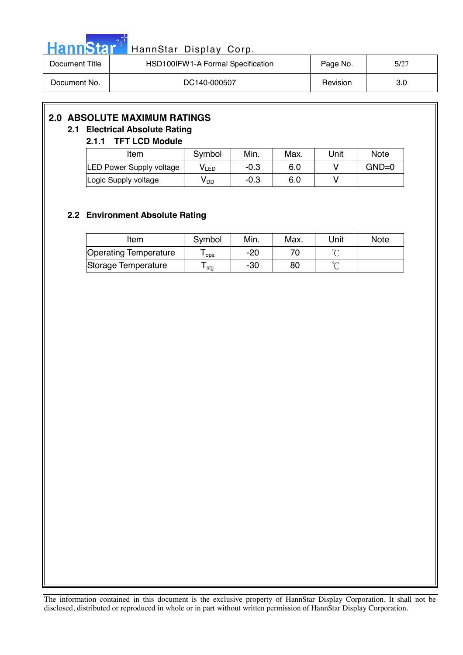| . . |  |     |   |  |
|-----|--|-----|---|--|
| П   |  | ann | Ы |  |
|     |  |     |   |  |

### HannStar Display Corp.

| Document Title | HSD100IFW1-A Formal Specification | Page No. | 5/27 |
|----------------|-----------------------------------|----------|------|
| Document No.   | DC140-000507                      | Revision | 3.0  |

### **2.0 ABSOLUTE MAXIMUM RATINGS**

### **2.1 Electrical Absolute Rating**

### **2.1.1 TFT LCD Module**

| Item                            | Symbol | Min.   | Max. | Unit | <b>Note</b> |
|---------------------------------|--------|--------|------|------|-------------|
| <b>LED Power Supply voltage</b> | V LED  | $-0.3$ | 6.0  |      | $GND=0$     |
| Logic Supply voltage            | V DD   | $-0.3$ | 6.0  |      |             |

### **2.2 Environment Absolute Rating**

| Item                         | Symbol | Min. | Max. | Unit | <b>Note</b> |
|------------------------------|--------|------|------|------|-------------|
| <b>Operating Temperature</b> | opa    | -20  |      |      |             |
| Storage Temperature          | stg    | -30  | 80   |      |             |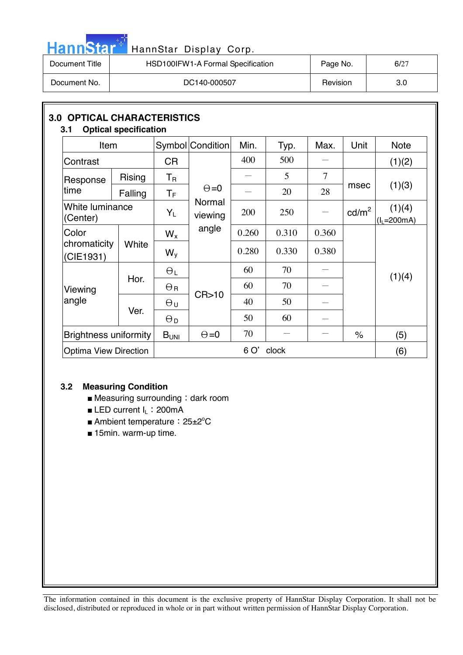| HannStar <sup>**</sup> | HannStar Display Corp.            |          |      |
|------------------------|-----------------------------------|----------|------|
| Document Title         | HSD100IFW1-A Formal Specification | Page No. | 6/27 |
| Document No.           | DC140-000507                      | Revision | 3.0  |

| 3.1                         | <b>3.0 OPTICAL CHARACTERISTICS</b><br><b>Optical specification</b> |                  |                   |       |       |       |                 |                         |  |
|-----------------------------|--------------------------------------------------------------------|------------------|-------------------|-------|-------|-------|-----------------|-------------------------|--|
| Item                        |                                                                    |                  | Symbol Condition  | Min.  | Typ.  | Max.  | Unit            | <b>Note</b>             |  |
| Contrast                    |                                                                    | <b>CR</b>        |                   | 400   | 500   |       |                 | (1)(2)                  |  |
| Response                    | <b>Rising</b>                                                      | $T_{\mathsf{R}}$ |                   |       | 5     | 7     |                 | (1)(3)                  |  |
| time                        | Falling                                                            | $T_{\mathsf{F}}$ | $\Theta = 0$      |       | 20    | 28    | msec            |                         |  |
| White luminance<br>(Center) |                                                                    | $Y_L$            | Normal<br>viewing | 200   | 250   |       | $\text{cd/m}^2$ | (1)(4)<br>$(I_L=200mA)$ |  |
| Color                       |                                                                    | $W_{x}$          | angle             | 0.260 | 0.310 | 0.360 |                 |                         |  |
| chromaticity<br>(CIE1931)   | White                                                              | $W_{V}$          |                   | 0.280 | 0.330 | 0.380 |                 | (1)(4)                  |  |
|                             |                                                                    | $\Theta_L$       |                   | 60    | 70    |       |                 |                         |  |
| Viewing                     | Hor.                                                               | $\Theta_{\rm R}$ |                   | 60    | 70    |       |                 |                         |  |
| angle                       |                                                                    | $\Theta$ u       | CR > 10           | 40    | 50    |       |                 |                         |  |
|                             | Ver.                                                               | $\Theta_{\rm D}$ |                   | 50    | 60    |       |                 |                         |  |
|                             | <b>Brightness uniformity</b>                                       |                  | $\Theta = 0$      | 70    |       |       | $\%$            | (5)                     |  |
|                             | <b>Optima View Direction</b>                                       |                  |                   | 6 O'  | clock |       |                 | (6)                     |  |

### **3.2 Measuring Condition**

سال ا

- $\blacksquare$  Measuring surrounding : dark room
- LED current I<sub>L</sub>: 200mA
- Ambient temperature: 25±2°C
- 15min. warm-up time.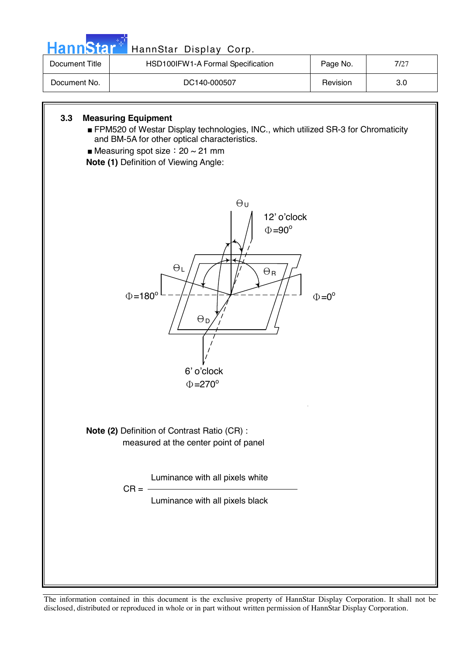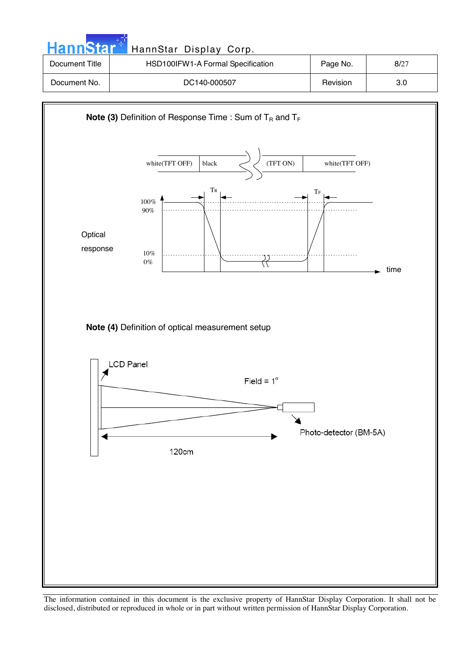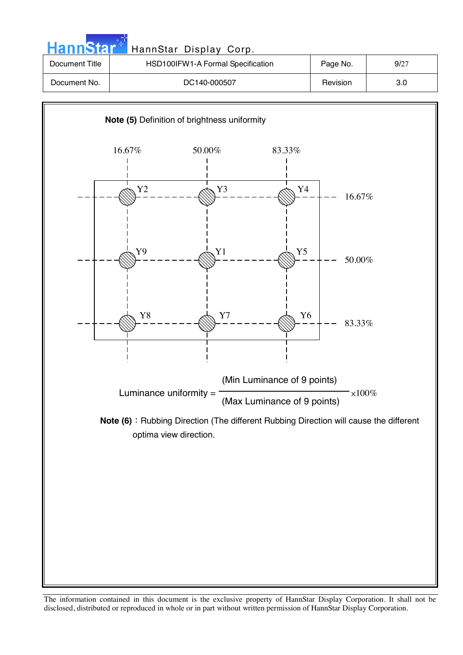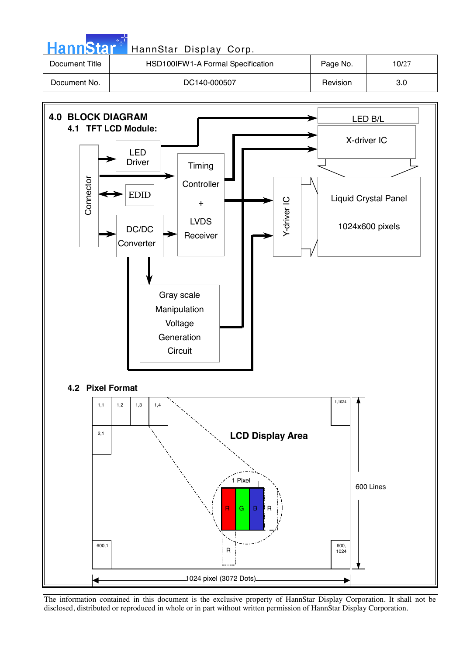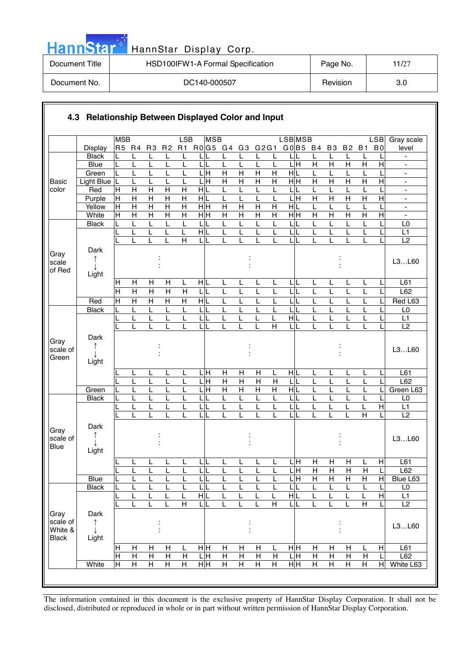| HannStar <sup>+</sup> | HannStar Display Corp.            |          |       |
|-----------------------|-----------------------------------|----------|-------|
| Document Title        | HSD100IFW1-A Formal Specification | Page No. | 11/27 |
| Document No.          | DC140-000507                      | Revision | 3.0   |

والمراد

|                                 |                         | <b>MSB</b>          |                                  |                                  |                                  | LSB                              | <b>MSB</b>              |                         |                           |                         |                         | <b>LSB</b> MSB            |                     |                              |                     |                         | LSB                     | Gray scale                                           |
|---------------------------------|-------------------------|---------------------|----------------------------------|----------------------------------|----------------------------------|----------------------------------|-------------------------|-------------------------|---------------------------|-------------------------|-------------------------|---------------------------|---------------------|------------------------------|---------------------|-------------------------|-------------------------|------------------------------------------------------|
|                                 | <b>Display</b>          |                     | R5 R4                            | R <sub>3</sub>                   | R <sub>2</sub>                   | <b>R1</b>                        | R0G5 G4 G3 G2G1         |                         |                           |                         |                         | G0 B5 B4                  |                     | <b>B3</b>                    | <b>B2</b>           | <b>B1</b>               | B <sub>0</sub>          | level                                                |
|                                 | <b>Black</b>            |                     | L                                | L                                |                                  |                                  |                         |                         |                           |                         | L                       |                           |                     | L                            | L                   |                         |                         |                                                      |
|                                 | Blue                    | L                   | L                                | L                                |                                  | L                                |                         | L                       |                           | L                       | L                       | LН                        | H                   | $\overline{H}$               | $\overline{H}$      | $\overline{H}$          | $\overline{H}$          | $\overline{\phantom{a}}$                             |
|                                 | Green                   | L                   | L                                | L                                |                                  | L                                | $\frac{1}{\text{H}}$    | $\overline{H}$          | $\overline{H}$            | $\overline{\mathsf{H}}$ | $\overline{H}$          | HL                        | L                   | L                            | L                   |                         |                         | $\blacksquare$                                       |
| <b>Basic</b>                    | <b>Light Blue</b>       | L                   | L                                | L                                | L                                | L                                | $\frac{1}{\text{H}}$    | $\overline{H}$          | $\overline{H}$            | $\overline{H}$          | $\overline{H}$          | H H                       | $\overline{H}$      | Η                            | $\overline{H}$      | $\overline{H}$          | $\overline{\mathsf{H}}$ | $\blacksquare$                                       |
| color                           | Red                     | H                   | $\mathsf{H}$                     | $\overline{H}$                   | $\overline{H}$                   | $\overline{H}$                   | HL                      | L                       | L                         | L                       | L                       | LIL                       | L                   | L                            | L                   | L                       |                         | $\blacksquare$                                       |
|                                 | Purple<br>Yellow        | $\overline{H}$<br>H | $\overline{H}$<br>$\overline{H}$ | $\overline{H}$<br>$\overline{H}$ | $\overline{H}$<br>$\overline{H}$ | $\overline{H}$<br>$\overline{H}$ | H L<br>$\overline{H}$ H | L<br>$\overline{H}$     | L<br>$\overline{H}$       | L<br>$\overline{H}$     | L<br>$\overline{H}$     | Ε<br>L<br>H L             | $\overline{H}$      | Η                            | $\mathsf{H}$        | $\overline{H}$<br>L     | H                       | $\overline{\phantom{a}}$                             |
|                                 | White                   | $\pm$               | $\overline{\mathsf{H}}$          | $\overline{\mathsf{H}}$          | $\overline{\mathsf{H}}$          | $\overline{\mathsf{H}}$          | H H                     | $\overline{\mathsf{H}}$ | $\overline{\mathsf{H}}$   | $\overline{H}$          | $\overline{H}$          | H H                       | L<br>$\overline{H}$ | L<br>$\overline{\mathsf{H}}$ | L<br>$\overline{H}$ | $\overline{\mathsf{H}}$ | $\overline{H}$          | $\overline{\phantom{a}}$<br>$\overline{\phantom{a}}$ |
|                                 | <b>Black</b>            |                     | L                                | L                                | $\mathsf{I}$                     | L                                | L                       | L                       |                           | L                       | L                       | L                         | L                   | L                            | L                   | L                       |                         | L <sub>0</sub>                                       |
|                                 |                         |                     | L                                | L                                |                                  | L                                | $\overline{H}$          | L                       | L                         | L                       | L                       | L                         | L                   | L                            | L                   |                         |                         | L1                                                   |
|                                 |                         |                     | L                                | L                                |                                  | H                                | LIL                     | L                       |                           | L                       | L                       | LL                        | L                   | L                            | L                   | L                       |                         | L2                                                   |
| Gray                            | Dark<br>↑               |                     |                                  |                                  |                                  |                                  |                         |                         |                           |                         |                         |                           |                     |                              |                     |                         |                         |                                                      |
| scale<br>of Red                 | Light                   |                     |                                  |                                  |                                  |                                  |                         |                         |                           |                         |                         |                           |                     |                              |                     |                         |                         | L3L60                                                |
|                                 |                         | H                   | Н                                | H                                | Н                                | L                                | HL                      | L                       | L                         | L                       | L                       | LIL                       | L                   | L                            | L                   | L                       |                         | L61                                                  |
|                                 |                         | $\overline{H}$      | $\overline{H}$                   | $\overline{H}$                   | $\overline{H}$                   | H                                | L<br>L                  | L                       | L                         | L                       | L                       | L                         | L                   | L                            | L                   | L                       |                         | L62                                                  |
|                                 | Red                     | $\overline{H}$      | $\overline{H}$                   | $\overline{H}$                   | $\overline{H}$                   | $\overline{H}$                   | HL                      | L                       | L                         | L                       | L                       | LIL                       | L                   | L                            | L                   | L                       |                         | Red L63                                              |
|                                 | <b>Black</b>            | L                   | L                                | L                                | L                                | L                                | L                       | L                       | L                         | L                       | L                       | L<br>П                    | L                   | L                            | L                   | L                       |                         | L <sub>0</sub>                                       |
|                                 |                         |                     | L                                | L                                | L                                | L                                | LL                      | Ĺ                       | L                         | L                       | Г                       | H L                       | L                   | L                            | L                   | L                       |                         | L1                                                   |
|                                 |                         |                     |                                  | L                                |                                  |                                  | L                       |                         |                           |                         | $\overline{H}$          |                           |                     |                              | L                   |                         |                         | $\overline{L2}$                                      |
| Gray<br>scale of<br>Green       | Dark<br>Light           |                     |                                  |                                  |                                  |                                  |                         |                         |                           |                         |                         |                           |                     |                              |                     |                         |                         | L3L60                                                |
|                                 |                         |                     | L                                | L                                | L                                | L                                | ЦH                      | H                       | H                         | Η                       | L                       | HL                        | L                   | L                            | L                   | L                       |                         | L61                                                  |
|                                 |                         |                     | L                                | L                                | L                                | L                                | H                       | $\overline{H}$          | $\boldsymbol{\mathsf{H}}$ | $\mathsf{H}$            | $\overline{H}$          | L                         | L                   | L                            | L                   |                         |                         | L62                                                  |
|                                 | Green                   |                     | L                                | L                                | L                                | L                                | H<br>L                  | $\overline{H}$          | $\overline{H}$            | $\overline{H}$          | H                       | H L                       | L                   | L                            | L                   | L                       |                         | Green L63                                            |
|                                 | <b>Black</b>            |                     | L                                | L                                |                                  | L                                | L                       | L                       | L                         | L                       | L                       | LL                        | L                   | L                            | L                   |                         |                         | L <sub>0</sub>                                       |
|                                 |                         |                     | L                                | L                                |                                  | L                                | $\mathsf{L}$            | L                       | L                         | L                       | L                       | LL                        | L                   | L                            | L                   | L                       | H                       | L1                                                   |
|                                 |                         |                     |                                  |                                  |                                  |                                  |                         |                         |                           |                         | L                       |                           |                     |                              |                     | $\overline{H}$          |                         | $\overline{L2}$                                      |
| Gray<br>scale of<br><b>Blue</b> | Dark<br>Light           |                     |                                  |                                  |                                  |                                  |                         |                         |                           |                         |                         |                           |                     |                              |                     |                         |                         | L3L60                                                |
|                                 |                         |                     | L                                | L                                | L                                | L                                | LL                      | L                       | L                         | L                       | L                       | L <sub>H</sub>            | $\overline{H}$      | H                            | $\overline{H}$      | L                       | H                       | L61                                                  |
|                                 |                         | L                   | L                                | L                                | L                                | L                                | $\mathsf{L}$<br>L       | L                       | L                         | L                       | Ĺ                       | 듴                         | $\mathsf{H}$        | $\mathsf{H}$                 | $\mathsf{H}$        | $\overline{H}$          | L                       | L62                                                  |
|                                 | Blue                    | L                   | L                                | L                                | L                                | L                                | LL                      | L                       | L                         | L                       | L                       | $\overline{\mathsf{H}}$   | Н                   | $\mathsf{H}$                 | Η                   | Н                       | $\mathsf{H}$            | Blue L63                                             |
|                                 | <b>Black</b>            |                     | L                                | L                                | L                                | L                                | LI                      | L                       |                           | L                       | L                       | L                         | L                   | L                            | L                   | L                       |                         | L <sub>0</sub>                                       |
|                                 |                         |                     | L                                | L                                |                                  | L                                | HL                      | L                       |                           |                         | L                       | НL                        | L                   | L                            | L                   | L                       | $\overline{H}$          | L1                                                   |
|                                 |                         |                     | L                                | L                                |                                  | $\overline{H}$                   | ЦL                      |                         | L                         | L                       | $\overline{\mathsf{H}}$ | LL                        | L                   |                              | L                   | $\overline{\mathsf{H}}$ | L                       | L2                                                   |
| Gray<br>scale of<br>White &     | Dark<br>$\uparrow$<br>T |                     |                                  |                                  |                                  |                                  |                         |                         |                           |                         |                         |                           |                     |                              |                     |                         |                         | L3L60                                                |
| <b>Black</b>                    | Light                   |                     |                                  |                                  |                                  |                                  |                         |                         |                           |                         |                         |                           |                     |                              |                     |                         |                         |                                                      |
|                                 |                         | $\mathsf H$         | Н                                | H                                | $\boldsymbol{\mathsf{H}}$        | L                                | HH                      | H                       | Н                         | Н                       | L                       | HH                        | Н                   | Н                            | $\mathsf{H}$        | L                       | H                       | L61                                                  |
|                                 |                         | $\overline{H}$      | $\overline{H}$                   | $\overline{H}$                   | $\overline{H}$                   | $\mathsf{H}$                     | LН                      | $\overline{H}$          | $\overline{H}$            | $\overline{H}$          | $\overline{H}$          | 믘                         | $\overline{H}$      | $\overline{H}$               | $\overline{H}$      | $\overline{H}$          |                         | L62                                                  |
|                                 | White                   | $\mathsf{H}$        | Н                                | $\overline{H}$                   | $\overline{H}$                   | $\overline{H}$                   | H H                     | $\overline{H}$          | $\overline{H}$            | $\overline{H}$          | $\overline{H}$          | $\overline{\overline{H}}$ | $\overline{H}$      | $\mathsf{H}$                 | $\overline{H}$      | $\overline{H}$          | H                       | White L63                                            |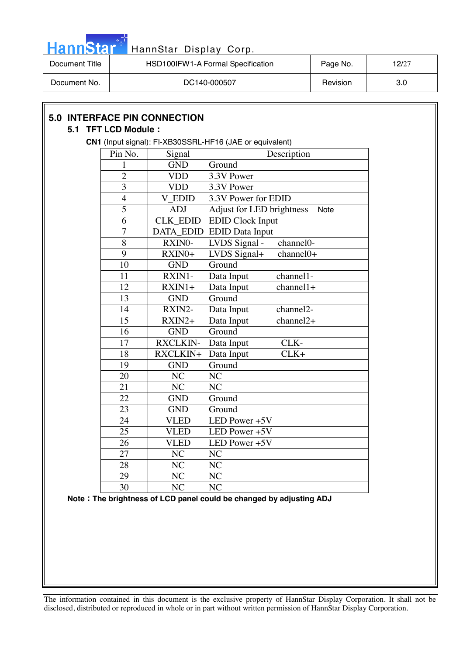

| Document Title | HSD100IFW1-A Formal Specification | Page No. | 12/27 |
|----------------|-----------------------------------|----------|-------|
| Document No.   | DC140-000507                      | Revision | 3.0   |

| Pin No.         | Signal           | Description                             |
|-----------------|------------------|-----------------------------------------|
| 1               | <b>GND</b>       | Ground                                  |
| $\overline{2}$  | <b>VDD</b>       | 3.3V Power                              |
| 3               | <b>VDD</b>       | 3.3V Power                              |
| $\overline{4}$  | V_EDID           | 3.3V Power for EDID                     |
| 5               | <b>ADJ</b>       | Adjust for LED brightness<br>Note       |
| 6               | CLK_EDID         | <b>EDID Clock Input</b>                 |
| $\overline{7}$  | <b>DATA_EDID</b> | <b>EDID</b> Data Input                  |
| 8               | RXINO-           | LVDS Signal -<br>channel <sub>0</sub> - |
| 9               | RXIN0+           | LVDS Signal+<br>channel0+               |
| 10              | <b>GND</b>       | Ground                                  |
| 11              | RXIN1-           | Data Input<br>channel1-                 |
| 12              | $RXIN1+$         | Data Input<br>$channel1+$               |
| 13              | <b>GND</b>       | Ground                                  |
| 14              | RXIN2-           | channel <sub>2</sub> -<br>Data Input    |
| 15              | $RXIN2+$         | channel2+<br>Data Input                 |
| 16              | <b>GND</b>       | Ground                                  |
| 17              | <b>RXCLKIN-</b>  | CLK-<br>Data Input                      |
| 18              | RXCLKIN+         | $CLK+$<br>Data Input                    |
| 19              | <b>GND</b>       | Ground                                  |
| 20              | NC               | <b>NC</b>                               |
| 21              | NC               | N <sub>C</sub>                          |
| 22              | <b>GND</b>       | Ground                                  |
| 23              | <b>GND</b>       | Ground                                  |
| 24              | <b>VLED</b>      | LED Power +5V                           |
| 25              | <b>VLED</b>      | LED Power +5V                           |
| 26              | <b>VLED</b>      | LED Power +5V                           |
| $\overline{27}$ | $\rm NC$         | NC                                      |
| 28              | NC               | N <sub>C</sub>                          |
| 29              | NC               | <b>NC</b>                               |
| 30              | NC               | NC                                      |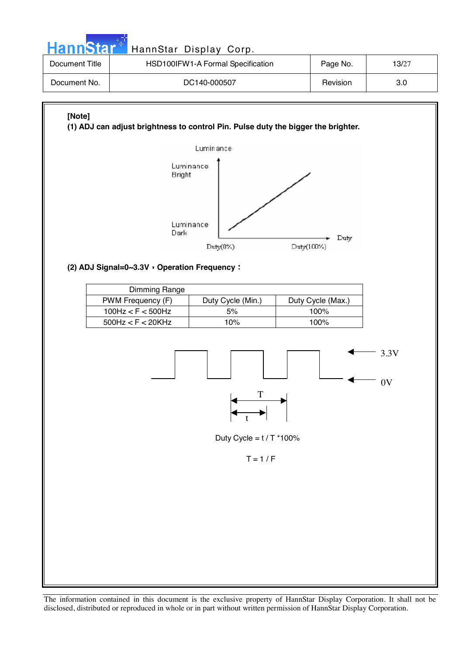| <b>HannStart</b> | HannStar Display Corp.                                                                                                  |          |  |  |  |  |  |  |
|------------------|-------------------------------------------------------------------------------------------------------------------------|----------|--|--|--|--|--|--|
| Document Title   | HSD100IFW1-A Formal Specification                                                                                       | Page No. |  |  |  |  |  |  |
| Document No.     | DC140-000507                                                                                                            | 3.0      |  |  |  |  |  |  |
| [Note]           | (1) ADJ can adjust brightness to control Pin. Pulse duty the bigger the brighter.<br>Lumin ance-<br>Luminance<br>Bright |          |  |  |  |  |  |  |

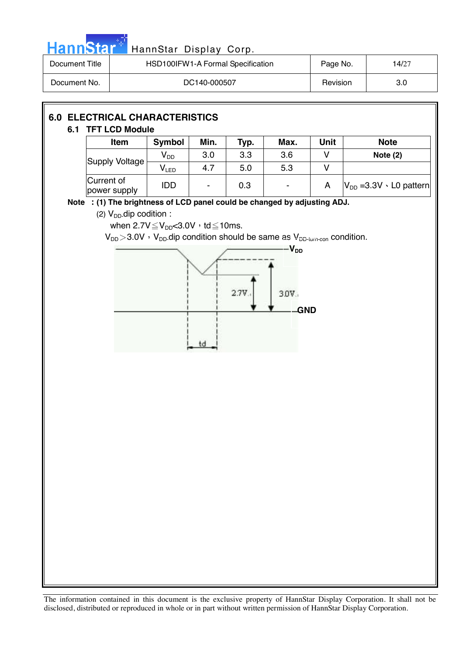| <b>Hannstal</b>                              |                                                                           | HannStar Display Corp.                            |              |      |                                                                                                             |             |                                  |
|----------------------------------------------|---------------------------------------------------------------------------|---------------------------------------------------|--------------|------|-------------------------------------------------------------------------------------------------------------|-------------|----------------------------------|
| <b>Document Title</b>                        |                                                                           | HSD100IFW1-A Formal Specification                 |              |      |                                                                                                             | Page No.    | 14/27                            |
| Document No.                                 |                                                                           |                                                   | DC140-000507 |      |                                                                                                             | Revision    | 3.0                              |
| <b>6.0 ELECTRICAL CHARACTERISTICS</b><br>6.1 | <b>TFT LCD Module</b>                                                     |                                                   |              |      |                                                                                                             |             |                                  |
|                                              | Item                                                                      | Symbol                                            | Min.         | Typ. | Max.                                                                                                        | <b>Unit</b> | <b>Note</b>                      |
|                                              | <b>Supply Voltage</b>                                                     | $V_{DD}$                                          | 3.0          | 3.3  | 3.6                                                                                                         | V           | Note $(2)$                       |
|                                              |                                                                           | $V_{LED}$                                         | 4.7          | 5.0  | 5.3                                                                                                         | V           |                                  |
|                                              | Current of<br>power supply                                                | IDD                                               |              | 0.3  | $\overline{\phantom{a}}$                                                                                    | A           | $V_{DD} = 3.3V \cdot LO$ pattern |
|                                              | Note : (1) The brightness of LCD panel could be changed by adjusting ADJ. |                                                   |              |      |                                                                                                             |             |                                  |
|                                              | (2) $V_{DD}$ dip codition :                                               |                                                   |              |      |                                                                                                             |             |                                  |
|                                              |                                                                           | when $2.7V \leq V_{DD} < 3.0V$ , td $\leq 10$ ms. |              |      | $V_{DD}$ > 3.0V $\cdot$ V <sub>DD</sub> .dip condition should be same as V <sub>DD-ium-con</sub> condition. |             |                                  |
|                                              |                                                                           |                                                   |              |      | $-V_{\mathsf{DD}}$                                                                                          |             |                                  |
|                                              |                                                                           |                                                   |              | 2.7V | 3.0V.<br><b>GND</b>                                                                                         |             |                                  |
|                                              |                                                                           |                                                   |              |      |                                                                                                             |             |                                  |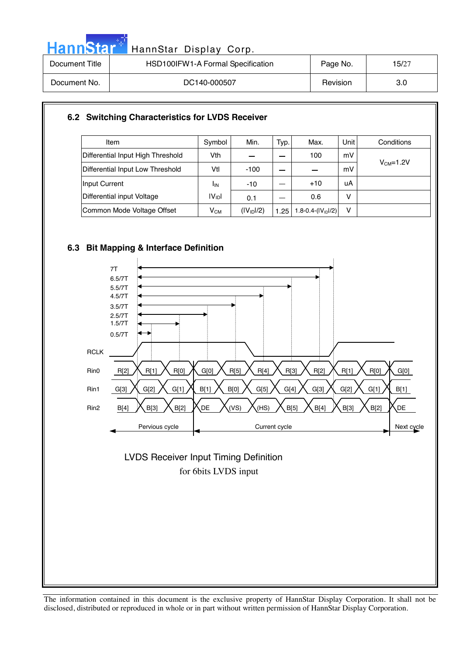| HannStar <sup>*</sup> | HannStar Display Corp.            |          |       |
|-----------------------|-----------------------------------|----------|-------|
| Document Title        | HSD100IFW1-A Formal Specification | Page No. | 15/27 |
| Document No.          | DC140-000507                      | Revision | 3.0   |

### **6.2 Switching Characteristics for LVDS Receiver**

| Item                              | Symbol             | Min.                   | Typ. | Max.                     | Unit l | Conditions |
|-----------------------------------|--------------------|------------------------|------|--------------------------|--------|------------|
| Differential Input High Threshold | Vth                |                        |      | 100                      | mV     |            |
| Differential Input Low Threshold  | Vtl                | $-100$                 |      |                          | mV     | $VCM=1.2V$ |
| Input Current                     | <b>I</b> IN        | $-10$                  |      | $+10$                    | uA     |            |
| Differential input Voltage        | IV <sub>ID</sub> I | 0.1                    |      | 0.6                      | v      |            |
| Common Mode Voltage Offset        | $V_{CM}$           | (IV <sub>1D</sub> 1/2) | 1.25 | 1.8-0.4 $(  V_{ID} /2 )$ | v      |            |

### **6.3 Bit Mapping & Interface Definition**



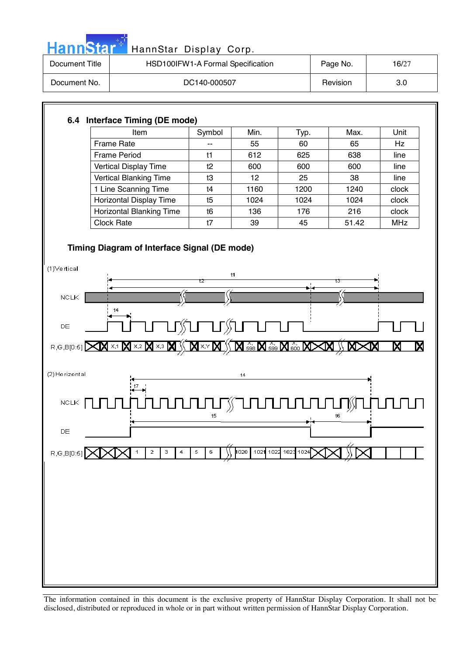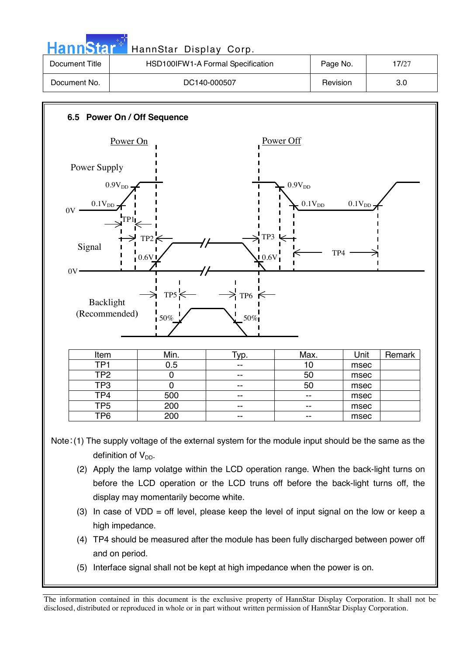| <b>HannStar</b> | HannStar Display Corp.            |          |       |
|-----------------|-----------------------------------|----------|-------|
| Document Title  | HSD100IFW1-A Formal Specification | Page No. | 17/27 |
| Document No.    | DC140-000507                      | Revision | 3.0   |
|                 |                                   |          |       |



Note:  $(1)$  The supply voltage of the external system for the module input should be the same as the definition of  $V_{DD}$ .

- (2) Apply the lamp volatge within the LCD operation range. When the back-light turns on before the LCD operation or the LCD truns off before the back-light turns off, the display may momentarily become white.
- (3) In case of VDD = off level, please keep the level of input signal on the low or keep a high impedance.
- (4) TP4 should be measured after the module has been fully discharged between power off and on period.
- (5) Interface signal shall not be kept at high impedance when the power is on.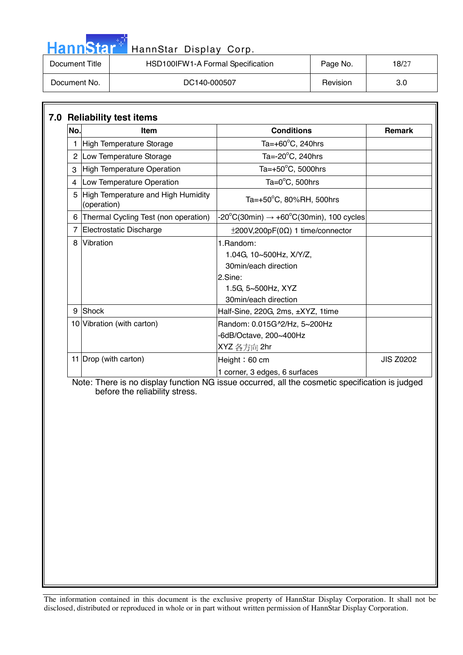| <b>HannStart</b> | HannStar Display Corp.            |          |       |
|------------------|-----------------------------------|----------|-------|
| Document Title   | HSD100IFW1-A Formal Specification | Page No. | 18/27 |
| Document No.     | DC140-000507                      | Revision | 3.0   |

| No. | <b>Item</b>                                       | <b>Conditions</b>                                                     | <b>Remark</b>    |
|-----|---------------------------------------------------|-----------------------------------------------------------------------|------------------|
|     | High Temperature Storage                          | Ta= $+60^{\circ}$ C, 240hrs                                           |                  |
|     | 2 Low Temperature Storage                         | Ta= $-20^{\circ}$ C, 240hrs                                           |                  |
| 3   | High Temperature Operation                        | Ta= $+50^{\circ}$ C, 5000hrs                                          |                  |
| 4   | Low Temperature Operation                         | Ta= $0^{\circ}$ C, 500hrs                                             |                  |
| 5   | High Temperature and High Humidity<br>(operation) | Ta=+50°C, 80%RH, 500hrs                                               |                  |
| 6   | Thermal Cycling Test (non operation)              | $-20^{\circ}$ C(30min) $\rightarrow +60^{\circ}$ C(30min), 100 cycles |                  |
|     | Electrostatic Discharge                           | $\pm 200V, 200pF(0\Omega)$ 1 time/connector                           |                  |
| 8   | Vibration                                         | 1. Random:                                                            |                  |
|     |                                                   | 1.04G, 10~500Hz, X/Y/Z,                                               |                  |
|     |                                                   | 30min/each direction                                                  |                  |
|     |                                                   | 2.Sine:                                                               |                  |
|     |                                                   | 1.5G, 5~500Hz, XYZ                                                    |                  |
|     |                                                   | 30min/each direction                                                  |                  |
| 9   | Shock                                             | Half-Sine, 220G, 2ms, ±XYZ, 1time                                     |                  |
|     | 10 Vibration (with carton)                        | Random: 0.015G^2/Hz, 5~200Hz                                          |                  |
|     |                                                   | -6dB/Octave, 200~400Hz                                                |                  |
|     |                                                   | XYZ 各方向 2hr                                                           |                  |
|     | 11 Drop (with carton)                             | Height: $60 \text{ cm}$                                               | <b>JIS Z0202</b> |
|     |                                                   | 1 corner, 3 edges, 6 surfaces                                         |                  |

 Note: There is no display function NG issue occurred, all the cosmetic specification is judged before the reliability stress.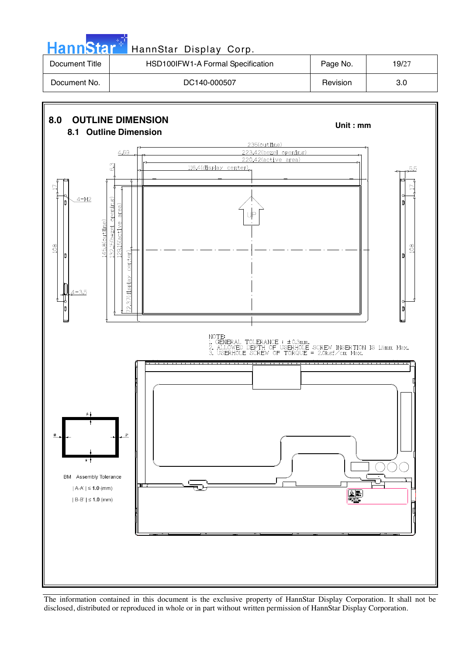| HannStar <sup>*</sup> | HannStar Display Corp.            |          |       |
|-----------------------|-----------------------------------|----------|-------|
| Document Title        | HSD100IFW1-A Formal Specification | Page No. | 19/27 |
| Document No.          | DC140-000507                      | Revision | 3.0   |

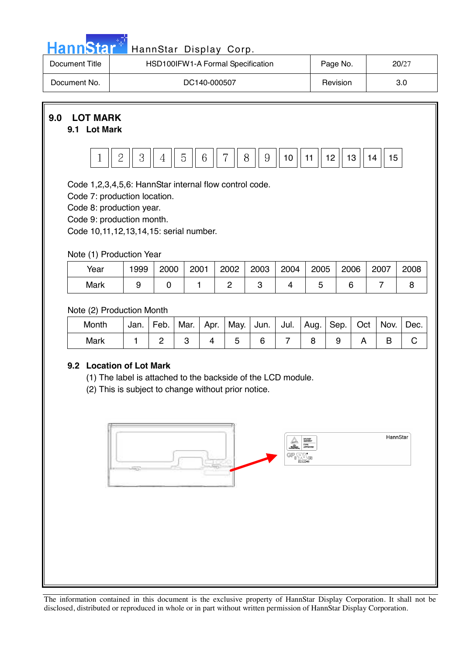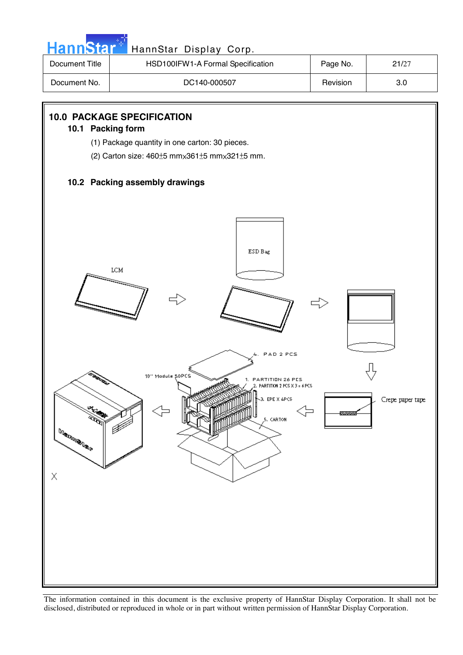![](_page_20_Figure_0.jpeg)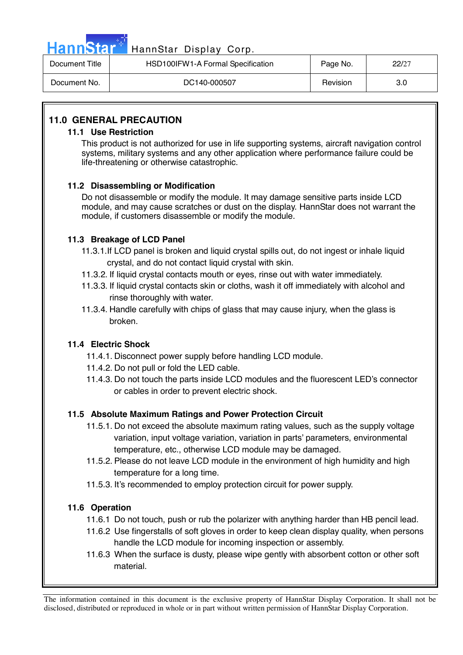| HannStar <sup>*</sup> | HannStar Display Corp.            |          |       |
|-----------------------|-----------------------------------|----------|-------|
| Document Title        | HSD100IFW1-A Formal Specification | Page No. | 22/27 |
| Document No.          | DC140-000507                      | Revision | 3.0   |

### **11.0 GENERAL PRECAUTION**

### **11.1 Use Restriction**

This product is not authorized for use in life supporting systems, aircraft navigation control systems, military systems and any other application where performance failure could be life-threatening or otherwise catastrophic.

### **11.2 Disassembling or Modification**

 Do not disassemble or modify the module. It may damage sensitive parts inside LCD module, and may cause scratches or dust on the display. HannStar does not warrant the module, if customers disassemble or modify the module.

### **11.3 Breakage of LCD Panel**

- 11.3.1.If LCD panel is broken and liquid crystal spills out, do not ingest or inhale liquid crystal, and do not contact liquid crystal with skin.
- 11.3.2. If liquid crystal contacts mouth or eyes, rinse out with water immediately.
- 11.3.3. If liquid crystal contacts skin or cloths, wash it off immediately with alcohol and rinse thoroughly with water.
- 11.3.4. Handle carefully with chips of glass that may cause injury, when the glass is broken.

### **11.4 Electric Shock**

- 11.4.1. Disconnect power supply before handling LCD module.
- 11.4.2. Do not pull or fold the LED cable.
- 11.4.3. Do not touch the parts inside LCD modules and the fluorescent LED's connector or cables in order to prevent electric shock.

### **11.5 Absolute Maximum Ratings and Power Protection Circuit**

- 11.5.1. Do not exceed the absolute maximum rating values, such as the supply voltage variation, input voltage variation, variation in parts' parameters, environmental temperature, etc., otherwise LCD module may be damaged.
- 11.5.2. Please do not leave LCD module in the environment of high humidity and high temperature for a long time.
- 11.5.3. It's recommended to employ protection circuit for power supply.

### **11.6 Operation**

- 11.6.1 Do not touch, push or rub the polarizer with anything harder than HB pencil lead.
- 11.6.2 Use fingerstalls of soft gloves in order to keep clean display quality, when persons handle the LCD module for incoming inspection or assembly.
- 11.6.3 When the surface is dusty, please wipe gently with absorbent cotton or other soft material.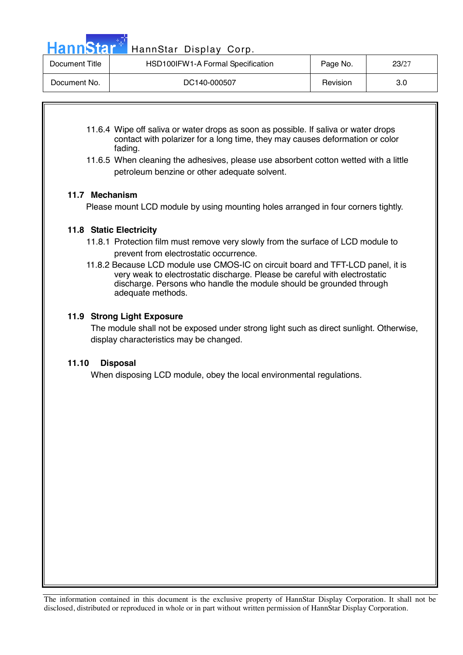Hann Star<sup>t H</sup>annStar Display Corp.

| Document Title | HSD100IFW1-A Formal Specification | Page No. | 23/27 |
|----------------|-----------------------------------|----------|-------|
| Document No.   | DC140-000507                      | Revision | 3.0   |

- 11.6.4 Wipe off saliva or water drops as soon as possible. If saliva or water drops contact with polarizer for a long time, they may causes deformation or color fading.
- 11.6.5 When cleaning the adhesives, please use absorbent cotton wetted with a little petroleum benzine or other adequate solvent.

### **11.7 Mechanism**

Please mount LCD module by using mounting holes arranged in four corners tightly.

### **11.8 Static Electricity**

- 11.8.1 Protection film must remove very slowly from the surface of LCD module to prevent from electrostatic occurrence.
- 11.8.2 Because LCD module use CMOS-IC on circuit board and TFT-LCD panel, it is very weak to electrostatic discharge. Please be careful with electrostatic discharge. Persons who handle the module should be grounded through adequate methods.

### **11.9 Strong Light Exposure**

The module shall not be exposed under strong light such as direct sunlight. Otherwise, display characteristics may be changed.

### **11.10 Disposal**

When disposing LCD module, obey the local environmental regulations.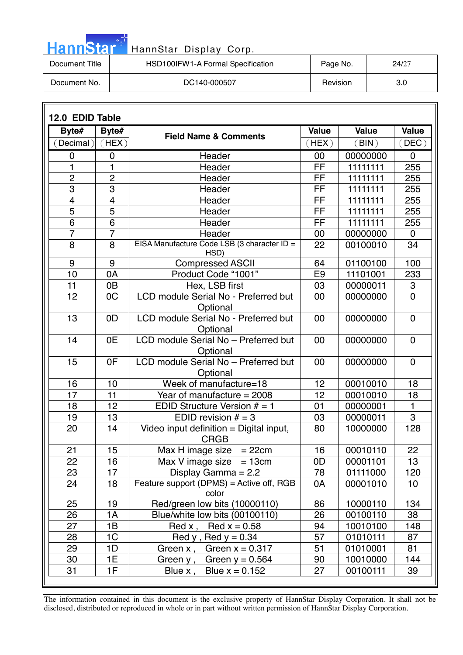| HannStar <sup>*</sup> | HannStar Display Corp.            |          |       |
|-----------------------|-----------------------------------|----------|-------|
| Document Title        | HSD100IFW1-A Formal Specification | Page No. | 24/27 |
| Document No.          | DC140-000507                      | Revision | 3.0   |

والمرادين

|                         | 12.0 EDID Table |                                                        |                |              |                  |  |
|-------------------------|-----------------|--------------------------------------------------------|----------------|--------------|------------------|--|
| Byte#                   | Byte#           | <b>Field Name &amp; Comments</b>                       | <b>Value</b>   | <b>Value</b> | <b>Value</b>     |  |
| (Decimal)               | (HEX)           |                                                        | (HEX)          | (BIN)        | (DEC)            |  |
| 0                       | 0               | Header                                                 | 00             | 00000000     | $\mathbf 0$      |  |
| 1                       | 1               | Header                                                 | FF             | 11111111     | 255              |  |
| $\overline{2}$          | $\overline{2}$  | Header                                                 | FF             | 11111111     | 255              |  |
| $\overline{3}$          | 3               | Header                                                 | FF             | 11111111     | 255              |  |
| $\overline{\mathbf{4}}$ | 4               | Header                                                 | FF             | 11111111     | 255              |  |
| 5                       | 5               | Header                                                 | FF             | 11111111     | 255              |  |
| 6                       | 6               | Header                                                 | FF             | 11111111     | 255              |  |
| $\overline{7}$          | $\overline{7}$  | Header                                                 | 00             | 00000000     | $\mathbf 0$      |  |
| $\overline{8}$          | 8               | EISA Manufacture Code LSB (3 character ID =<br>HSD)    | 22             | 00100010     | 34               |  |
| 9                       | 9               | <b>Compressed ASCII</b>                                | 64             | 01100100     | 100              |  |
| 10                      | 0A              | Product Code "1001"                                    | E <sub>9</sub> | 11101001     | 233              |  |
| 11                      | 0 <sub>B</sub>  | Hex, LSB first                                         | 03             | 00000011     | $\boldsymbol{3}$ |  |
| 12                      | 0 <sub>C</sub>  | LCD module Serial No - Preferred but<br>Optional       | 00             | 00000000     | $\overline{0}$   |  |
| 13                      | 0D              | LCD module Serial No - Preferred but<br>Optional       | 00             | 00000000     | $\mathbf 0$      |  |
| 14                      | 0E              | LCD module Serial No - Preferred but<br>Optional       | 00             | 00000000     | $\mathbf 0$      |  |
| 15                      | 0F              | LCD module Serial No - Preferred but<br>Optional       | 00             | 00000000     | $\mathbf 0$      |  |
| 16                      | 10              | Week of manufacture=18                                 | 12             | 00010010     | 18               |  |
| 17                      | 11              | Year of manufacture = $2008$                           | 12             | 00010010     | 18               |  |
| 18                      | 12              | EDID Structure Version $# = 1$                         | 01             | 00000001     | $\mathbf{1}$     |  |
| 19                      | 13              | EDID revision $# = 3$                                  | 03             | 00000011     | $\overline{3}$   |  |
| 20                      | 14              | Video input definition = Digital input,<br><b>CRGB</b> | 80             | 10000000     | 128              |  |
| 21                      | 15              | $= 22cm$<br>Max H image size                           | 16             | 00010110     | 22               |  |
| 22                      | 16              | $Max V image size = 13cm$                              | 0D             | 00001101     | 13               |  |
| 23                      | 17              | Display Gamma = $2.2$                                  | 78             | 01111000     | 120              |  |
| 24                      | 18              | Feature support (DPMS) = Active off, RGB<br>color      | 0A             | 00001010     | 10               |  |
| 25                      | 19              | Red/green low bits (10000110)                          | 86             | 10000110     | 134              |  |
| 26                      | 1А              | Blue/white low bits (00100110)                         | 26             | 00100110     | 38               |  |
| 27                      | 1B              | Red x, Red $x = 0.58$                                  | 94             | 10010100     | 148              |  |
| 28                      | 1 <sup>C</sup>  | Red y, Red $y = 0.34$                                  | 57             | 01010111     | 87               |  |
| 29                      | 1D              | Green $x = 0.317$<br>Green x,                          | 51             | 01010001     | 81               |  |
| 30                      | 1E              | Green $y = 0.564$<br>Green y ,                         | 90             | 10010000     | 144              |  |
| 31                      | 1F              | Blue $x = 0.152$<br>Blue x,                            | 27             | 00100111     | 39               |  |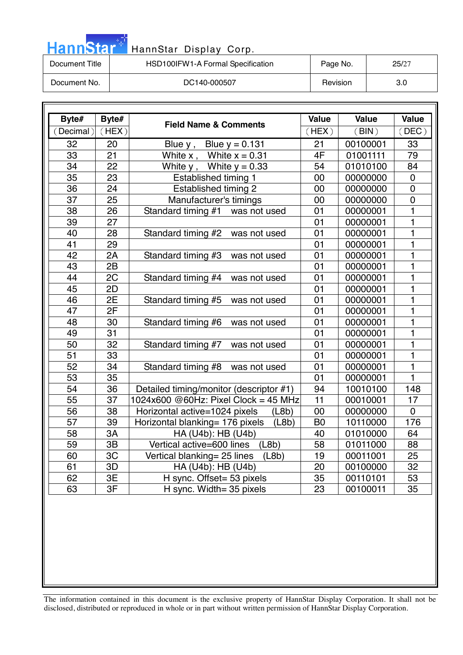| HannStar <sup>*</sup> | HannStar Display Corp.            |          |       |
|-----------------------|-----------------------------------|----------|-------|
| Document Title        | HSD100IFW1-A Formal Specification | Page No. | 25/27 |
| Document No.          | DC140-000507                      | Revision | 3.0   |

m.

| Byte#           | Byte# |                                          | <b>Value</b>   | <b>Value</b> | <b>Value</b>   |
|-----------------|-------|------------------------------------------|----------------|--------------|----------------|
| Decimal)        | (HEX) | <b>Field Name &amp; Comments</b>         | (HEX)          | (BIN)        | (DEC)          |
| 32              | 20    | Blue $y$ , Blue $y = 0.131$              | 21             | 00100001     | 33             |
| $\overline{33}$ | 21    | White $x$ , White $x = 0.31$             | 4F             | 01001111     | 79             |
| 34              | 22    | White $y$ , White $y = 0.33$             | 54             | 01010100     | 84             |
| $\overline{35}$ | 23    | <b>Established timing 1</b>              | 00             | 00000000     | $\mathbf 0$    |
| 36              | 24    | <b>Established timing 2</b>              | 00             | 00000000     | $\mathbf 0$    |
| 37              | 25    | Manufacturer's timings                   | 00             | 00000000     | $\mathbf 0$    |
| 38              | 26    | Standard timing #1 was not used          | 01             | 00000001     | 1              |
| 39              | 27    |                                          | 01             | 00000001     | $\mathbf{1}$   |
| 40              | 28    | Standard timing #2 was not used          | 01             | 00000001     | $\mathbf{1}$   |
| 41              | 29    |                                          | 01             | 00000001     | $\mathbf{1}$   |
| 42              | 2A    | Standard timing #3<br>was not used       | 01             | 00000001     | $\mathbf{1}$   |
| 43              | 2B    |                                          | 01             | 00000001     | $\mathbf{1}$   |
| 44              | 2C    | Standard timing #4<br>was not used       | 01             | 00000001     | $\mathbf{1}$   |
| 45              | 2D    |                                          | 01             | 00000001     | $\mathbf 1$    |
| 46              | 2E    | Standard timing #5<br>was not used       | 01             | 00000001     | $\mathbf{1}$   |
| 47              | 2F    |                                          | 01             | 00000001     | $\mathbf{1}$   |
| 48              | 30    | Standard timing #6<br>was not used       | 01             | 00000001     | $\mathbf{1}$   |
| 49              | 31    |                                          | 01             | 00000001     | $\mathbf 1$    |
| 50              | 32    | Standard timing #7<br>was not used       | 01             | 00000001     | $\mathbf{1}$   |
| 51              | 33    |                                          | 01             | 00000001     | 1              |
| 52              | 34    | Standard timing #8<br>was not used       | 01             | 00000001     | $\mathbf{1}$   |
| 53              | 35    |                                          | 01             | 00000001     | $\mathbf{1}$   |
| 54              | 36    | Detailed timing/monitor (descriptor #1)  | 94             | 10010100     | 148            |
| 55              | 37    | 1024x600 @60Hz: Pixel Clock = 45 MHz     | 11             | 00010001     | 17             |
| 56              | 38    | Horizontal active=1024 pixels<br>(L8b)   | 00             | 00000000     | $\overline{0}$ |
| 57              | 39    | Horizontal blanking= 176 pixels<br>(L8b) | B <sub>0</sub> | 10110000     | 176            |
| 58              | 3A    | HA (U4b): HB (U4b)                       | 40             | 01010000     | 64             |
| 59              | 3B    | (L8b)<br>Vertical active=600 lines       | 58             | 01011000     | 88             |
| 60              | 3C    | (L8b)<br>Vertical blanking = 25 lines    | 19             | 00011001     | 25             |
| 61              | 3D    | HA (U4b): HB (U4b)                       | 20             | 00100000     | 32             |
| 62              | 3E    | H sync. Offset= 53 pixels                | 35             | 00110101     | 53             |
| 63              | 3F    | H sync. Width= 35 pixels                 | 23             | 00100011     | 35             |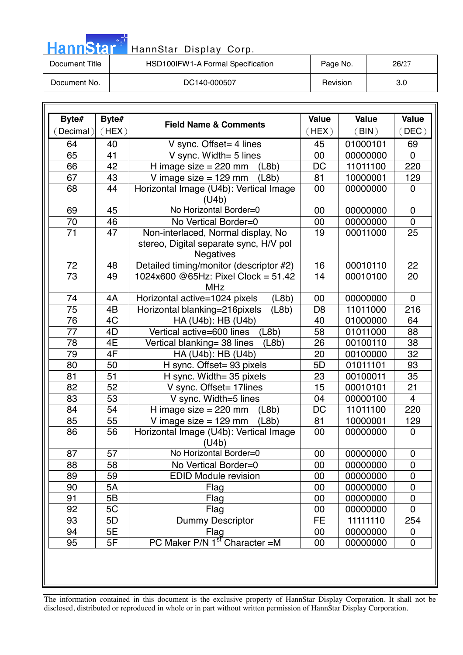| HannStar <sup>+</sup> | HannStar Display Corp.            |          |       |
|-----------------------|-----------------------------------|----------|-------|
| Document Title        | HSD100IFW1-A Formal Specification | Page No. | 26/27 |
| Document No.          | DC140-000507                      | Revision | 3.0   |

m.

| Byte#     | Byte# | <b>Field Name &amp; Comments</b>                                                                 | <b>Value</b>   | <b>Value</b> | Value          |
|-----------|-------|--------------------------------------------------------------------------------------------------|----------------|--------------|----------------|
| (Decimal) | (HEX) |                                                                                                  | (HEX)          | (BIN)        | (DEC)          |
| 64        | 40    | V sync. Offset= 4 lines                                                                          | 45             | 01000101     | 69             |
| 65        | 41    | V sync. Width= 5 lines                                                                           | 00             | 00000000     | $\Omega$       |
| 66        | 42    | (L8b)<br>H image size $= 220$ mm                                                                 | DC             | 11011100     | 220            |
| 67        | 43    | V image size $= 129$ mm<br>(L8b)                                                                 | 81             | 10000001     | 129            |
| 68        | 44    | Horizontal Image (U4b): Vertical Image<br>(U4b)                                                  | 00             | 00000000     | $\overline{0}$ |
| 69        | 45    | No Horizontal Border=0                                                                           | 00             | 00000000     | $\mathbf 0$    |
| 70        | 46    | No Vertical Border=0                                                                             | 00             | 00000000     | $\overline{0}$ |
| 71        | 47    | Non-interlaced, Normal display, No<br>stereo, Digital separate sync, H/V pol<br><b>Negatives</b> | 19             | 00011000     | 25             |
| 72        | 48    | Detailed timing/monitor (descriptor #2)                                                          | 16             | 00010110     | 22             |
| 73        | 49    | 1024x600 @65Hz: Pixel Clock = 51.42<br><b>MHz</b>                                                | 14             | 00010100     | 20             |
| 74        | 4A    | Horizontal active=1024 pixels<br>(L8b)                                                           | 00             | 00000000     | $\mathbf 0$    |
| 75        | 4B    | Horizontal blanking=216pixels<br>(L8b)                                                           | D <sub>8</sub> | 11011000     | 216            |
| 76        | 4C    | HA (U4b): HB (U4b)                                                                               | 40             | 01000000     | 64             |
| 77        | 4D    | Vertical active=600 lines<br>(L8b)                                                               | 58             | 01011000     | 88             |
| 78        | 4E    | Vertical blanking= 38 lines<br>(L8b)                                                             | 26             | 00100110     | 38             |
| 79        | 4F    | HA (U4b): HB (U4b)                                                                               | 20             | 00100000     | 32             |
| 80        | 50    | H sync. Offset= 93 pixels                                                                        | 5D             | 01011101     | 93             |
| 81        | 51    | H sync. Width= 35 pixels                                                                         | 23             | 00100011     | 35             |
| 82        | 52    | V sync. Offset= 17lines                                                                          | 15             | 00010101     | 21             |
| 83        | 53    | V sync. Width=5 lines                                                                            | 04             | 00000100     | 4              |
| 84        | 54    | H image size $= 220$ mm<br>(L8b)                                                                 | DC             | 11011100     | 220            |
| 85        | 55    | V image size $= 129$ mm<br>(L8b)                                                                 | 81             | 10000001     | 129            |
| 86        | 56    | Horizontal Image (U4b): Vertical Image<br>(U4b)                                                  | 00             | 00000000     | $\overline{0}$ |
| 87        | 57    | No Horizontal Border=0                                                                           | $00\,$         | 00000000     | $\pmb{0}$      |
| 88        | 58    | No Vertical Border=0                                                                             | 00             | 00000000     | $\overline{0}$ |
| 89        | 59    | <b>EDID Module revision</b>                                                                      | 00             | 00000000     | 0              |
| 90        | 5A    | Flag                                                                                             | 00             | 00000000     | $\overline{0}$ |
| 91        | 5B    | Flag                                                                                             | 00             | 00000000     | 0              |
| 92        | 5C    | Flag                                                                                             | 00             | 00000000     | $\overline{0}$ |
| 93        | 5D    | <b>Dummy Descriptor</b>                                                                          | FE             | 11111110     | 254            |
| 94        | 5Е    | Flag                                                                                             | 00             | 00000000     | 0              |
| 95        | 5F    | PC Maker P/N 1 <sup>st</sup> Character = M                                                       | 00             | 00000000     | $\overline{0}$ |